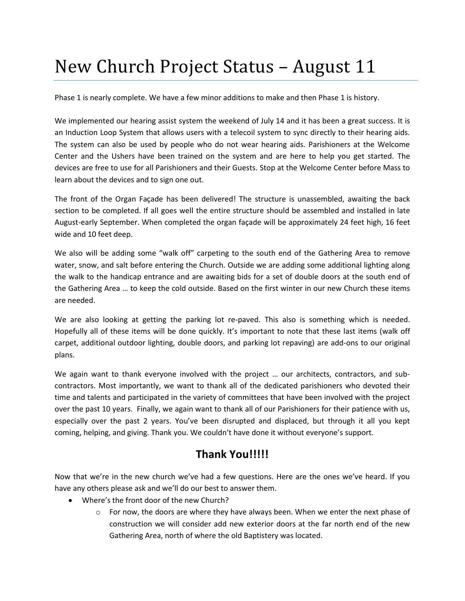## New Church Project Status – August 11

Phase 1 is nearly complete. We have a few minor additions to make and then Phase 1 is history.

We implemented our hearing assist system the weekend of July 14 and it has been a great success. It is an Induction Loop System that allows users with a telecoil system to sync directly to their hearing aids. The system can also be used by people who do not wear hearing aids. Parishioners at the Welcome Center and the Ushers have been trained on the system and are here to help you get started. The devices are free to use for all Parishioners and their Guests. Stop at the Welcome Center before Mass to learn about the devices and to sign one out.

The front of the Organ Façade has been delivered! The structure is unassembled, awaiting the back section to be completed. If all goes well the entire structure should be assembled and installed in late August-early September. When completed the organ façade will be approximately 24 feet high, 16 feet wide and 10 feet deep.

We also will be adding some "walk off" carpeting to the south end of the Gathering Area to remove water, snow, and salt before entering the Church. Outside we are adding some additional lighting along the walk to the handicap entrance and are awaiting bids for a set of double doors at the south end of the Gathering Area … to keep the cold outside. Based on the first winter in our new Church these items are needed.

We are also looking at getting the parking lot re-paved. This also is something which is needed. Hopefully all of these items will be done quickly. It's important to note that these last items (walk off carpet, additional outdoor lighting, double doors, and parking lot repaving) are add-ons to our original plans.

We again want to thank everyone involved with the project ... our architects, contractors, and subcontractors. Most importantly, we want to thank all of the dedicated parishioners who devoted their time and talents and participated in the variety of committees that have been involved with the project over the past 10 years. Finally, we again want to thank all of our Parishioners for their patience with us, especially over the past 2 years. You've been disrupted and displaced, but through it all you kept coming, helping, and giving. Thank you. We couldn't have done it without everyone's support.

## **Thank You!!!!!**

Now that we're in the new church we've had a few questions. Here are the ones we've heard. If you have any others please ask and we'll do our best to answer them.

- Where's the front door of the new Church?
	- $\circ$  For now, the doors are where they have always been. When we enter the next phase of construction we will consider add new exterior doors at the far north end of the new Gathering Area, north of where the old Baptistery was located.